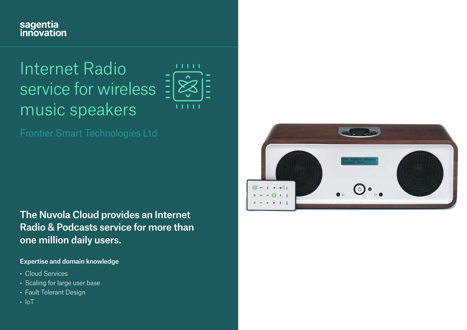## sagentia<br>innovation

# Internet Radio service for wireless music speakers



The Nuvola Cloud provides an Internet Radio & Podcasts service for more than one million daily users.

#### Expertise and domain knowledge

- Cloud Services
- Scaling for large user base
- Fault Tolerant Design
- $\cdot$  IoT